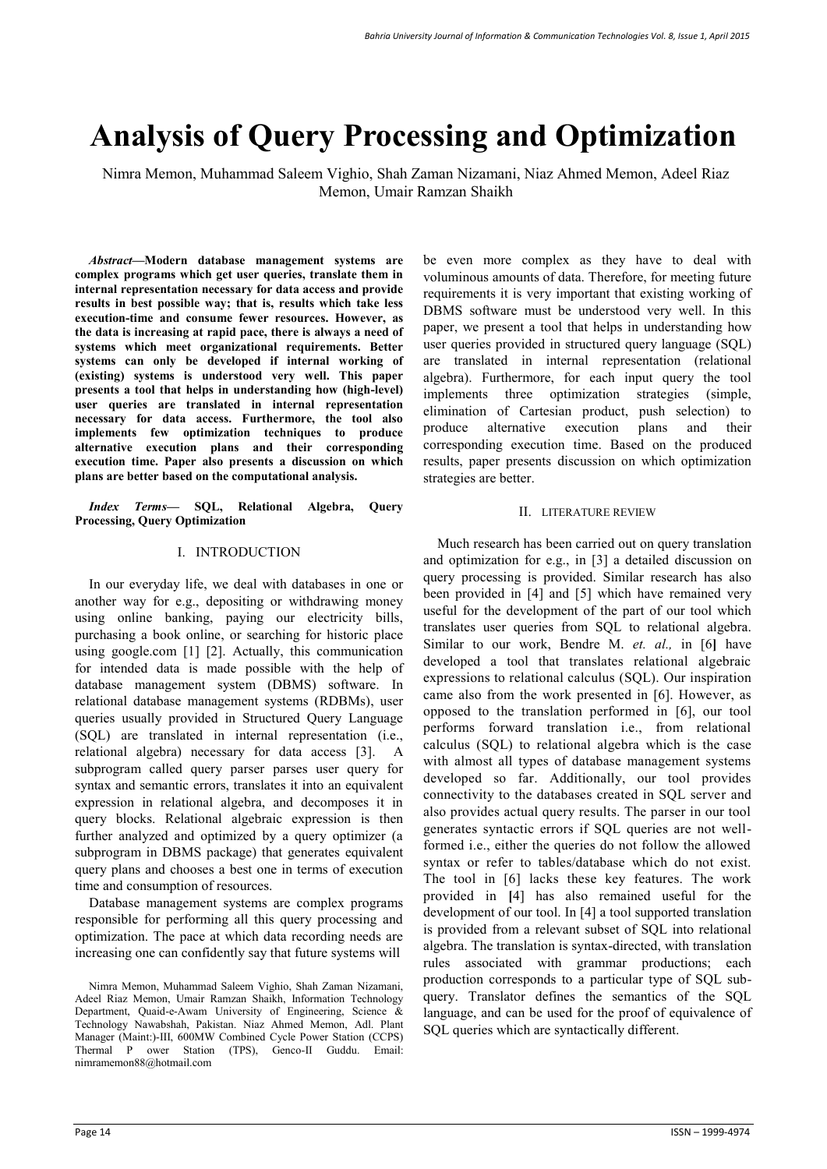# **Analysis of Query Processing and Optimization**

Nimra Memon, Muhammad Saleem Vighio, Shah Zaman Nizamani, Niaz Ahmed Memon, Adeel Riaz Memon, Umair Ramzan Shaikh

*Abstract***—Modern database management systems are complex programs which get user queries, translate them in internal representation necessary for data access and provide results in best possible way; that is, results which take less execution-time and consume fewer resources. However, as the data is increasing at rapid pace, there is always a need of systems which meet organizational requirements. Better systems can only be developed if internal working of (existing) systems is understood very well. This paper presents a tool that helps in understanding how (high-level) user queries are translated in internal representation necessary for data access. Furthermore, the tool also implements few optimization techniques to produce alternative execution plans and their corresponding execution time. Paper also presents a discussion on which plans are better based on the computational analysis.**

*Index Terms***— SQL, Relational Algebra, Query Processing, Query Optimization** 

### I. INTRODUCTION

In our everyday life, we deal with databases in one or another way for e.g., depositing or withdrawing money using online banking, paying our electricity bills, purchasing a book online, or searching for historic place using google.com [1] [2]. Actually, this communication for intended data is made possible with the help of database management system (DBMS) software. In relational database management systems (RDBMs), user queries usually provided in Structured Query Language (SQL) are translated in internal representation (i.e., relational algebra) necessary for data access [3]. A subprogram called query parser parses user query for syntax and semantic errors, translates it into an equivalent expression in relational algebra, and decomposes it in query blocks. Relational algebraic expression is then further analyzed and optimized by a query optimizer (a subprogram in DBMS package) that generates equivalent query plans and chooses a best one in terms of execution time and consumption of resources.

Database management systems are complex programs responsible for performing all this query processing and optimization. The pace at which data recording needs are increasing one can confidently say that future systems will

be even more complex as they have to deal with voluminous amounts of data. Therefore, for meeting future requirements it is very important that existing working of DBMS software must be understood very well. In this paper, we present a tool that helps in understanding how user queries provided in structured query language (SQL) are translated in internal representation (relational algebra). Furthermore, for each input query the tool implements three optimization strategies (simple, elimination of Cartesian product, push selection) to produce alternative execution plans and their corresponding execution time. Based on the produced results, paper presents discussion on which optimization strategies are better.

### II. LITERATURE REVIEW

Much research has been carried out on query translation and optimization for e.g., in [3] a detailed discussion on query processing is provided. Similar research has also been provided in [4] and [5] which have remained very useful for the development of the part of our tool which translates user queries from SQL to relational algebra. Similar to our work, Bendre M. *et. al.,* in [6**]** have developed a tool that translates relational algebraic expressions to relational calculus (SQL). Our inspiration came also from the work presented in [6]. However, as opposed to the translation performed in [6], our tool performs forward translation i.e., from relational calculus (SQL) to relational algebra which is the case with almost all types of database management systems developed so far. Additionally, our tool provides connectivity to the databases created in SQL server and also provides actual query results. The parser in our tool generates syntactic errors if SQL queries are not wellformed i.e., either the queries do not follow the allowed syntax or refer to tables/database which do not exist. The tool in [6] lacks these key features. The work provided in **[**4] has also remained useful for the development of our tool. In [4] a tool supported translation is provided from a relevant subset of SQL into relational algebra. The translation is syntax-directed, with translation rules associated with grammar productions; each production corresponds to a particular type of SQL subquery. Translator defines the semantics of the SQL language, and can be used for the proof of equivalence of SQL queries which are syntactically different.

Nimra Memon, Muhammad Saleem Vighio, Shah Zaman Nizamani, Adeel Riaz Memon, Umair Ramzan Shaikh, Information Technology Department, Quaid-e-Awam University of Engineering, Science & Technology Nawabshah, Pakistan. Niaz Ahmed Memon, Adl. Plant Manager (Maint:)-III, 600MW Combined Cycle Power Station (CCPS) Thermal P ower Station (TPS), Genco-II Guddu. Email: nimramemon88@hotmail.com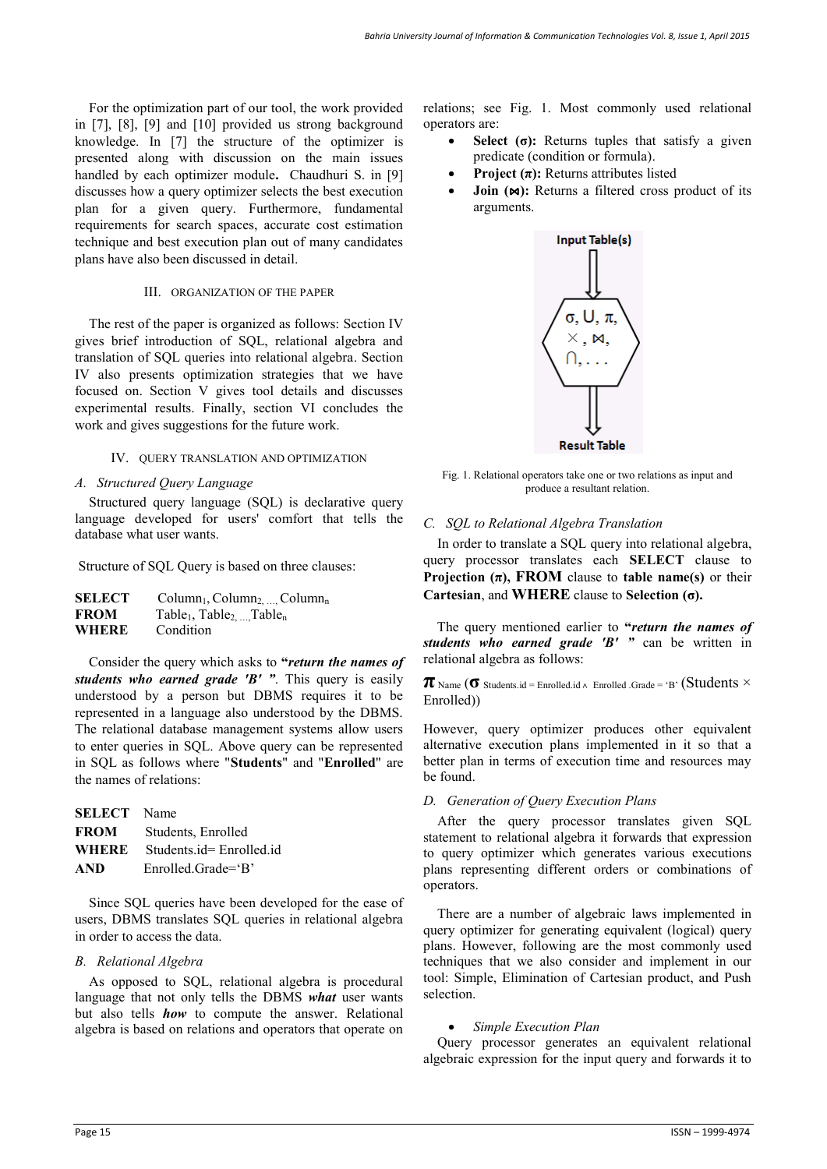For the optimization part of our tool, the work provided in [7], [8], [9] and [10] provided us strong background knowledge. In [7] the structure of the optimizer is presented along with discussion on the main issues handled by each optimizer module**.** Chaudhuri S. in [9] discusses how a query optimizer selects the best execution plan for a given query. Furthermore, fundamental requirements for search spaces, accurate cost estimation technique and best execution plan out of many candidates plans have also been discussed in detail.

#### III. ORGANIZATION OF THE PAPER

The rest of the paper is organized as follows: Section IV gives brief introduction of SQL, relational algebra and translation of SQL queries into relational algebra. Section IV also presents optimization strategies that we have focused on. Section V gives tool details and discusses experimental results. Finally, section VI concludes the work and gives suggestions for the future work.

## IV. QUERY TRANSLATION AND OPTIMIZATION

#### *A. Structured Query Language*

 Structured query language (SQL) is declarative query language developed for users' comfort that tells the database what user wants.

Structure of SQL Query is based on three clauses:

| <b>SELECT</b> | $Column_1, Column_2, \ldots$ Column <sub>n</sub>             |
|---------------|--------------------------------------------------------------|
| <b>FROM</b>   | Table <sub>1</sub> , Table <sub>2, </sub> Table <sub>n</sub> |
| <b>WHERE</b>  | Condition                                                    |

Consider the query which asks to **"***return the names of students who earned grade 'B' "*. This query is easily understood by a person but DBMS requires it to be represented in a language also understood by the DBMS. The relational database management systems allow users to enter queries in SQL. Above query can be represented in SQL as follows where "**Students**" and "**Enrolled**" are the names of relations:

| <b>SELECT</b> Name |                         |
|--------------------|-------------------------|
| <b>FROM</b>        | Students, Enrolled      |
| WHERE              | Students.id=Enrolled.id |
| AND                | $Enrolled. Grade = B'$  |

Since SQL queries have been developed for the ease of users, DBMS translates SQL queries in relational algebra in order to access the data.

## *B. Relational Algebra*

As opposed to SQL, relational algebra is procedural language that not only tells the DBMS *what* user wants but also tells *how* to compute the answer. Relational algebra is based on relations and operators that operate on

relations; see Fig. 1. Most commonly used relational operators are:

- **Select** (σ): Returns tuples that satisfy a given predicate (condition or formula).
- **Project (π):** Returns attributes listed
- **Join (** $\bowtie$ **):** Returns a filtered cross product of its arguments.



Fig. 1. Relational operators take one or two relations as input and produce a resultant relation.

### *C. SQL to Relational Algebra Translation*

 In order to translate a SQL query into relational algebra, query processor translates each **SELECT** clause to **Projection**  $(\pi)$ **, <b>FROM** clause to **table name(s)** or their **Cartesian**, and **WHERE** clause to **Selection (σ).** 

 The query mentioned earlier to **"***return the names of students who earned grade 'B' "* can be written in relational algebra as follows:

 $\pi$  Name ( $\sigma$  Students.id = Enrolled.id  $\land$  Enrolled .Grade = 'B' (Students  $\times$ Enrolled))

However, query optimizer produces other equivalent alternative execution plans implemented in it so that a better plan in terms of execution time and resources may be found.

## *D. Generation of Query Execution Plans*

 After the query processor translates given SQL statement to relational algebra it forwards that expression to query optimizer which generates various executions plans representing different orders or combinations of operators.

There are a number of algebraic laws implemented in query optimizer for generating equivalent (logical) query plans. However, following are the most commonly used techniques that we also consider and implement in our tool: Simple, Elimination of Cartesian product, and Push selection.

#### *Simple Execution Plan*

 Query processor generates an equivalent relational algebraic expression for the input query and forwards it to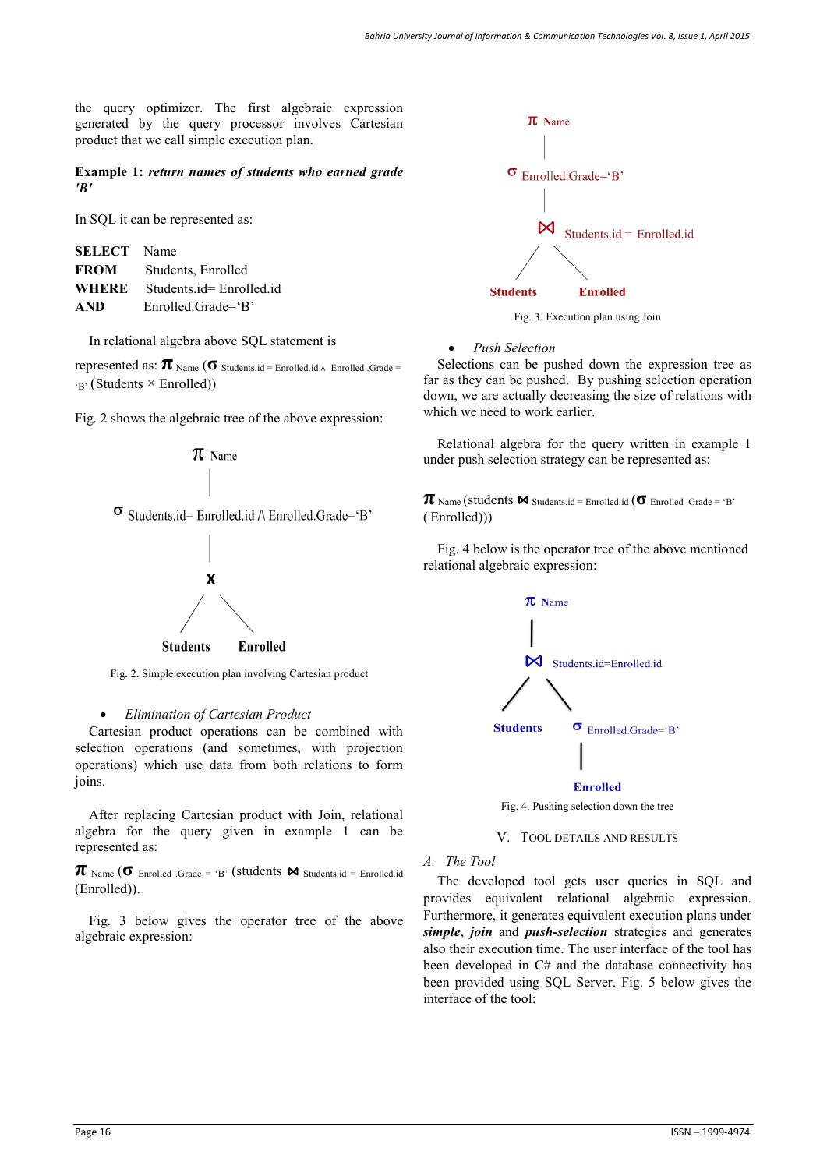the query optimizer. The first algebraic expression generated by the query processor involves Cartesian product that we call simple execution plan.

**Example 1:** *return names of students who earned grade 'B'*

In SQL it can be represented as:

| <b>SELECT</b> Name |                         |
|--------------------|-------------------------|
| <b>FROM</b>        | Students, Enrolled      |
| WHERE              | Students.id=Enrolled.id |
| <b>AND</b>         | $Enrolled. Grade = B'$  |

In relational algebra above SQL statement is

represented as:  $\pi_{\text{Name}}$  (**σ** Students.id = Enrolled.id ∧ Enrolled .Grade =  $r_{\rm B'}$  (Students  $\times$  Enrolled))

Fig. 2 shows the algebraic tree of the above expression:



Fig. 2. Simple execution plan involving Cartesian product

#### *Elimination of Cartesian Product*

Cartesian product operations can be combined with selection operations (and sometimes, with projection operations) which use data from both relations to form joins.

After replacing Cartesian product with Join, relational algebra for the query given in example 1 can be represented as:

 $\pi$  Name ( $\sigma$  Enrolled .Grade = 'B' (students  $\bowtie$  Students.id = Enrolled.id (Enrolled)).

Fig. 3 below gives the operator tree of the above algebraic expression:



*Push Selection* 

Selections can be pushed down the expression tree as far as they can be pushed. By pushing selection operation down, we are actually decreasing the size of relations with which we need to work earlier.

Relational algebra for the query written in example 1 under push selection strategy can be represented as:

 $\pi_{\text{Name}}$  (students  $\bowtie$  Students.id = Enrolled.id ( $\sigma$  Enrolled .Grade = 'B' ( Enrolled)))

Fig. 4 below is the operator tree of the above mentioned relational algebraic expression:



Fig. 4. Pushing selection down the tree

#### V. TOOL DETAILS AND RESULTS

*A. The Tool* 

The developed tool gets user queries in SQL and provides equivalent relational algebraic expression. Furthermore, it generates equivalent execution plans under *simple*, *join* and *push-selection* strategies and generates also their execution time. The user interface of the tool has been developed in C# and the database connectivity has been provided using SQL Server. Fig. 5 below gives the interface of the tool: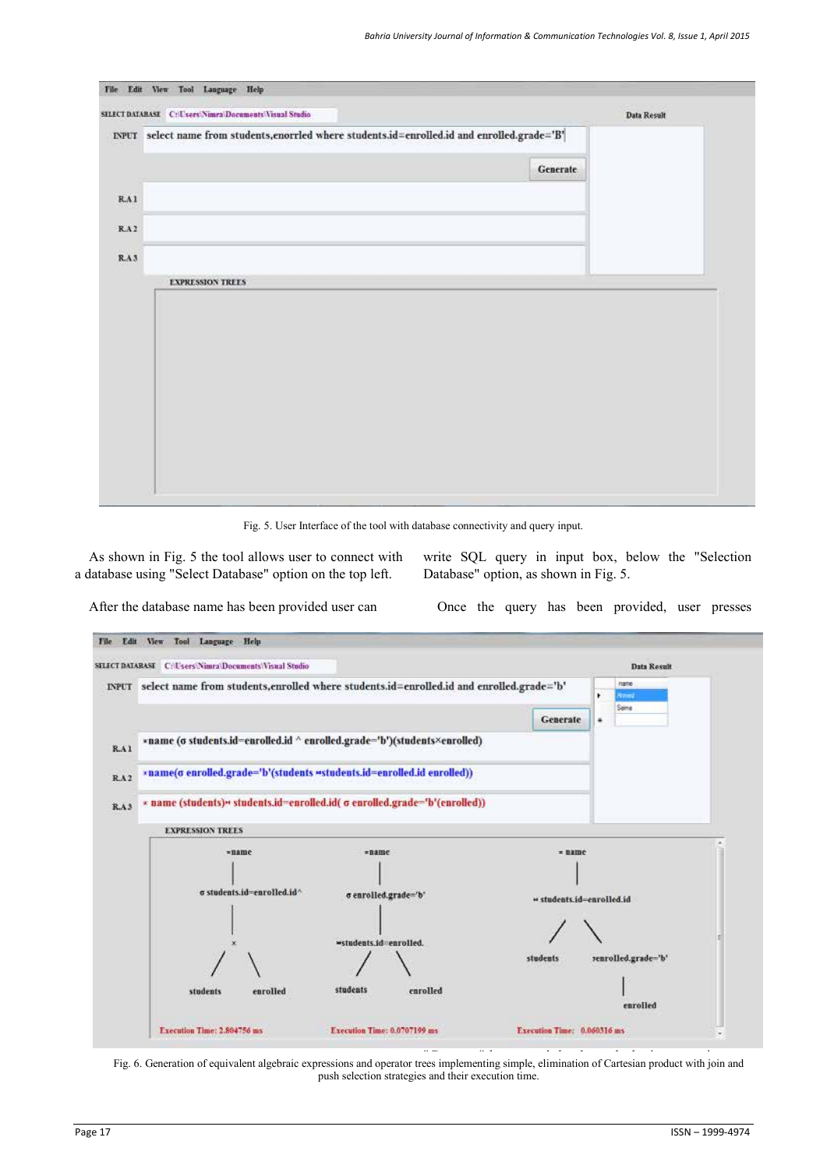|                                                                                                | <b>Data Result</b> |
|------------------------------------------------------------------------------------------------|--------------------|
| INPUT select name from students, enorried where students.id=enrolled.id and enrolled.grade='B' |                    |
| Generate                                                                                       |                    |
|                                                                                                |                    |
|                                                                                                |                    |
|                                                                                                |                    |
|                                                                                                |                    |
|                                                                                                |                    |
|                                                                                                |                    |
|                                                                                                |                    |
|                                                                                                |                    |
|                                                                                                |                    |

Fig. 5. User Interface of the tool with database connectivity and query input.

As shown in Fig. 5 the tool allows user to connect with a database using "Select Database" option on the top left.

write SQL query in input box, below the "Selection Database" option, as shown in Fig. 5.

After the database name has been provided user can

Once the query has been provided, user presses



Fig. 6. Generation of equivalent algebraic expressions and operator trees implementing simple, elimination of Cartesian product with join and push selection strategies and their execution time.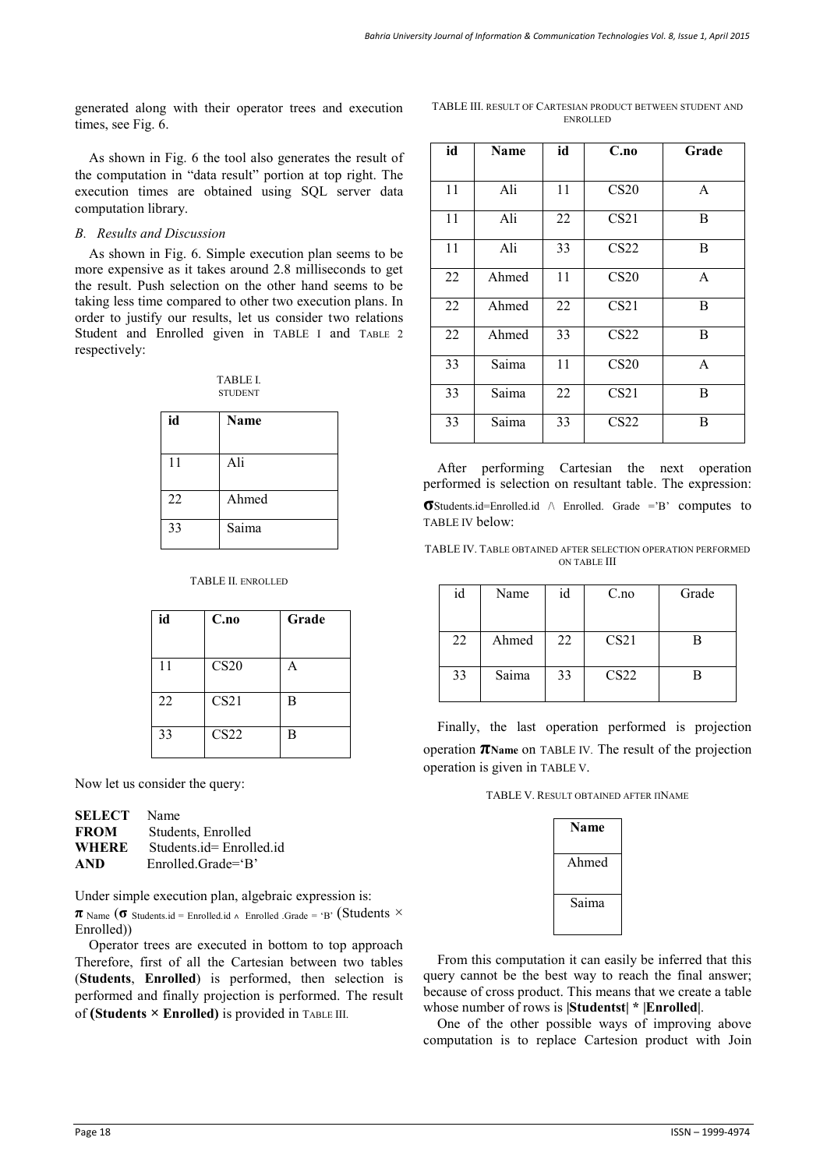generated along with their operator trees and execution times, see Fig. 6.

As shown in Fig. 6 the tool also generates the result of the computation in "data result" portion at top right. The execution times are obtained using SQL server data computation library.

## *B. Results and Discussion*

As shown in Fig. 6. Simple execution plan seems to be more expensive as it takes around 2.8 milliseconds to get the result. Push selection on the other hand seems to be taking less time compared to other two execution plans. In order to justify our results, let us consider two relations Student and Enrolled given in TABLE I and TABLE 2 respectively:

| <b>TABLE L</b> |  |
|----------------|--|
| <b>STUDENT</b> |  |

| id | <b>Name</b> |
|----|-------------|
| 11 | Ali         |
| 22 | Ahmed       |
| 33 | Saima       |

#### TABLE II. ENROLLED

| id | C.no             | Grade |
|----|------------------|-------|
| 11 | CS <sub>20</sub> | А     |
| 22 | CS21             | B     |
| 33 | CS22             | B     |

Now let us consider the query:

| SELECT | Name                    |
|--------|-------------------------|
| FROM   | Students, Enrolled      |
| WHERE  | Students.id=Enrolled.id |
| AND    | $Enrolled. Grade = B'$  |

Under simple execution plan, algebraic expression is:

 $\pi$  Name ( $\sigma$  Students.id = Enrolled.id  $\land$  Enrolled .Grade = 'B' (Students  $\times$ Enrolled))

Operator trees are executed in bottom to top approach Therefore, first of all the Cartesian between two tables (**Students**, **Enrolled**) is performed, then selection is performed and finally projection is performed. The result of **(Students × Enrolled)** is provided in TABLE III.

TABLE III. RESULT OF CARTESIAN PRODUCT BETWEEN STUDENT AND ENROLLED

| id | Name  | id | C.no             | Grade        |
|----|-------|----|------------------|--------------|
| 11 | Ali   | 11 | CS <sub>20</sub> | A            |
| 11 | Ali   | 22 | CS21             | B            |
| 11 | Ali   | 33 | CS <sub>22</sub> | B            |
| 22 | Ahmed | 11 | CS <sub>20</sub> | $\mathsf{A}$ |
| 22 | Ahmed | 22 | CS21             | B            |
| 22 | Ahmed | 33 | CS <sub>22</sub> | B            |
| 33 | Saima | 11 | CS <sub>20</sub> | A            |
| 33 | Saima | 22 | CS21             | B            |
| 33 | Saima | 33 | CS <sub>22</sub> | B            |

After performing Cartesian the next operation performed is selection on resultant table. The expression: **σ**Students.id=Enrolled.id /\ Enrolled. Grade ='B' computes to TABLE IV below:

TABLE IV. TABLE OBTAINED AFTER SELECTION OPERATION PERFORMED ON TABLE III

| id | Name  | id | C <sub>0</sub>   | Grade |
|----|-------|----|------------------|-------|
|    |       |    |                  |       |
| 22 | Ahmed | 22 | CS21             |       |
| 33 | Saima | 33 | CS <sub>22</sub> |       |

Finally, the last operation performed is projection operation **πName** on TABLE IV. The result of the projection operation is given in TABLE V.

TABLE V. RESULT OBTAINED AFTER ΠNAME

| Name  |
|-------|
| Ahmed |
| Saima |

From this computation it can easily be inferred that this query cannot be the best way to reach the final answer; because of cross product. This means that we create a table whose number of rows is **|Studentst| \* |Enrolled|**.

One of the other possible ways of improving above computation is to replace Cartesion product with Join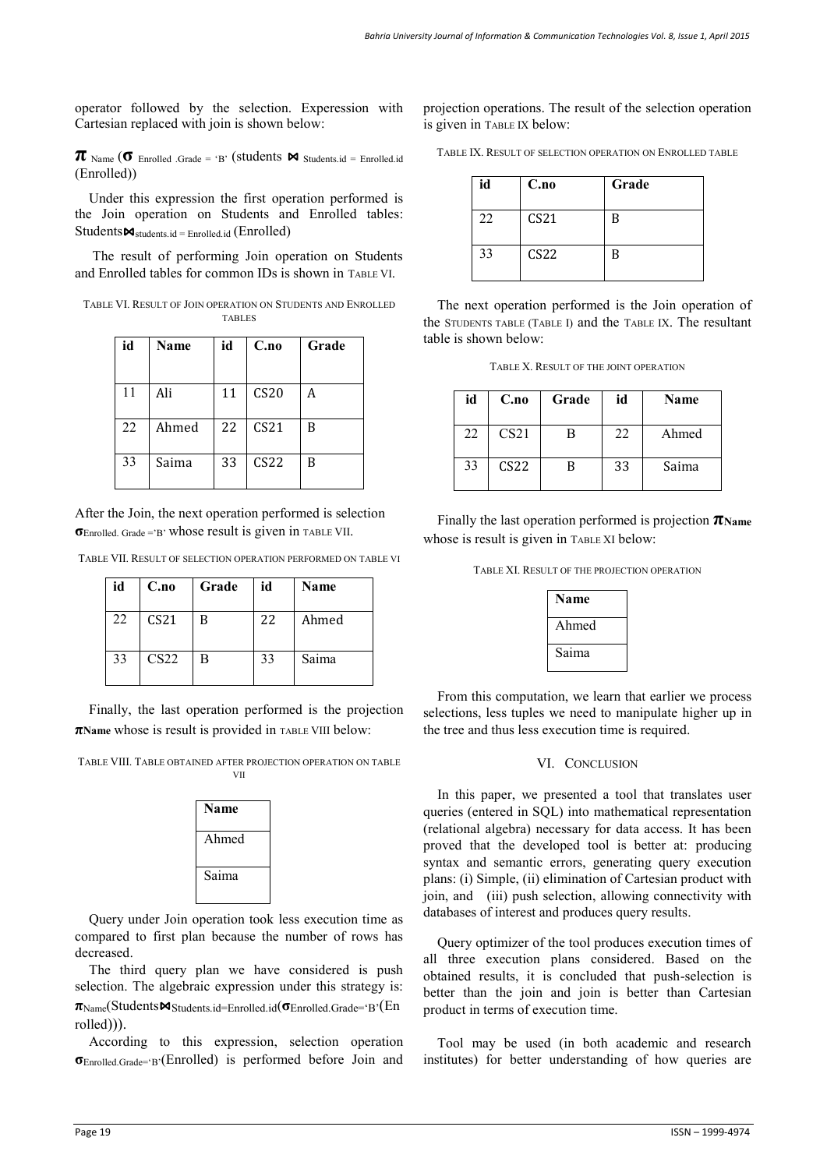operator followed by the selection. Experession with Cartesian replaced with join is shown below:

 $\pi$  Name ( $\sigma$  Enrolled .Grade = 'B' (students  $\bowtie$  Students.id = Enrolled.id (Enrolled))

Under this expression the first operation performed is the Join operation on Students and Enrolled tables:  $Students \Join_{students.id} = \text{Enrolled.id} (\text{Enrolled})$ 

 The result of performing Join operation on Students and Enrolled tables for common IDs is shown in TABLE VI.

| TABLE VI. RESULT OF JOIN OPERATION ON STUDENTS AND ENROLLED |  |
|-------------------------------------------------------------|--|
| <b>TABLES</b>                                               |  |

| id | <b>Name</b> | id | C.no             | Grade |
|----|-------------|----|------------------|-------|
| 11 | Ali         | 11 | CS20             | А     |
| 22 | Ahmed       | 22 | CS21             | B     |
| 33 | Saima       | 33 | CS <sub>22</sub> | B     |

After the Join, the next operation performed is selection **σ**Enrolled. Grade ='B' whose result is given in TABLE VII.

TABLE VII. RESULT OF SELECTION OPERATION PERFORMED ON TABLE VI

| id | C.no             | Grade | id | Name  |
|----|------------------|-------|----|-------|
| 22 | CS21             | B     | 22 | Ahmed |
| 33 | CS <sub>22</sub> | B     | 33 | Saima |

Finally, the last operation performed is the projection **πName** whose is result is provided in TABLE VIII below:

TABLE VIII. TABLE OBTAINED AFTER PROJECTION OPERATION ON TABLE VII

| Name  |
|-------|
| Ahmed |
| Saima |

Query under Join operation took less execution time as compared to first plan because the number of rows has decreased.

The third query plan we have considered is push selection. The algebraic expression under this strategy is:  $π_{Name}(Students \triangleleft_{Students.id=Enrolled.id} (\sigma_{Enrolled.Grade^{-}}B)$ <sup>(</sup>En rolled))).

According to this expression, selection operation **σ**Enrolled.Grade='B'(Enrolled) is performed before Join and projection operations. The result of the selection operation is given in TABLE IX below:

TABLE IX. RESULT OF SELECTION OPERATION ON ENROLLED TABLE

| id | C.no             | Grade |
|----|------------------|-------|
| 22 | CS <sub>21</sub> | B     |
| 33 | CS <sub>22</sub> | B     |

The next operation performed is the Join operation of the STUDENTS TABLE (TABLE I) and the TABLE IX. The resultant table is shown below:

TABLE X. RESULT OF THE JOINT OPERATION

| id | C.no             | Grade | id | Name  |
|----|------------------|-------|----|-------|
| 22 | CS <sub>21</sub> | В     | 22 | Ahmed |
| 33 | CS <sub>22</sub> | B     | 33 | Saima |

Finally the last operation performed is projection **πName** whose is result is given in TABLE XI below:

TABLE XI. RESULT OF THE PROJECTION OPERATION

| Name  |
|-------|
| Ahmed |
| Saima |

From this computation, we learn that earlier we process selections, less tuples we need to manipulate higher up in the tree and thus less execution time is required.

#### VI. CONCLUSION

In this paper, we presented a tool that translates user queries (entered in SQL) into mathematical representation (relational algebra) necessary for data access. It has been proved that the developed tool is better at: producing syntax and semantic errors, generating query execution plans: (i) Simple, (ii) elimination of Cartesian product with join, and (iii) push selection, allowing connectivity with databases of interest and produces query results.

Query optimizer of the tool produces execution times of all three execution plans considered. Based on the obtained results, it is concluded that push-selection is better than the join and join is better than Cartesian product in terms of execution time.

Tool may be used (in both academic and research institutes) for better understanding of how queries are